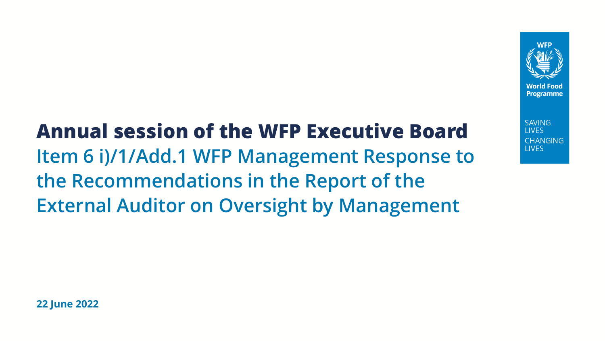

**SAVING I IVES CHANGING I IVES** 

**Annual session of the WFP Executive Board Item 6 i)/1/Add.1 WFP Management Response to the Recommendations in the Report of the External Auditor on Oversight by Management**

**22 June 2022**